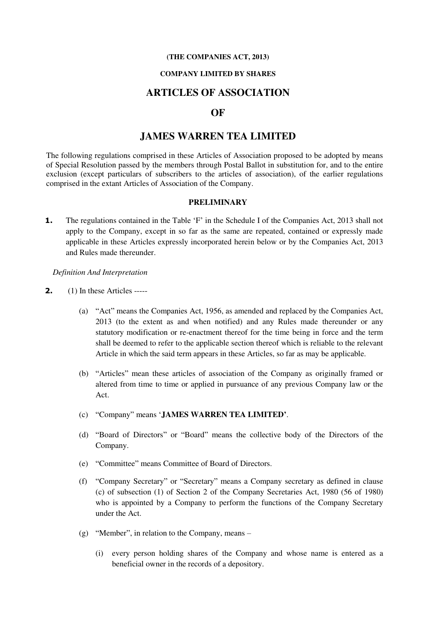#### **(THE COMPANIES ACT, 2013)**

#### **COMPANY LIMITED BY SHARES**

# **ARTICLES OF ASSOCIATION**

# **OF**

# **JAMES WARREN TEA LIMITED**

The following regulations comprised in these Articles of Association proposed to be adopted by means of Special Resolution passed by the members through Postal Ballot in substitution for, and to the entire exclusion (except particulars of subscribers to the articles of association), of the earlier regulations comprised in the extant Articles of Association of the Company.

#### **PRELIMINARY**

**1.** The regulations contained in the Table 'F' in the Schedule I of the Companies Act, 2013 shall not apply to the Company, except in so far as the same are repeated, contained or expressly made applicable in these Articles expressly incorporated herein below or by the Companies Act, 2013 and Rules made thereunder.

*Definition And Interpretation* 

- **2.** (1) In these Articles -----
	- (a) "Act" means the Companies Act, 1956, as amended and replaced by the Companies Act, 2013 (to the extent as and when notified) and any Rules made thereunder or any statutory modification or re-enactment thereof for the time being in force and the term shall be deemed to refer to the applicable section thereof which is reliable to the relevant Article in which the said term appears in these Articles, so far as may be applicable.
	- (b) "Articles" mean these articles of association of the Company as originally framed or altered from time to time or applied in pursuance of any previous Company law or the Act.
	- (c) "Company" means '**JAMES WARREN TEA LIMITED'**.
	- (d) "Board of Directors" or "Board" means the collective body of the Directors of the Company.
	- (e) "Committee" means Committee of Board of Directors.
	- (f) "Company Secretary" or "Secretary" means a Company secretary as defined in clause (c) of subsection (1) of Section 2 of the Company Secretaries Act, 1980 (56 of 1980) who is appointed by a Company to perform the functions of the Company Secretary under the Act.
	- (g) "Member", in relation to the Company, means
		- (i) every person holding shares of the Company and whose name is entered as a beneficial owner in the records of a depository.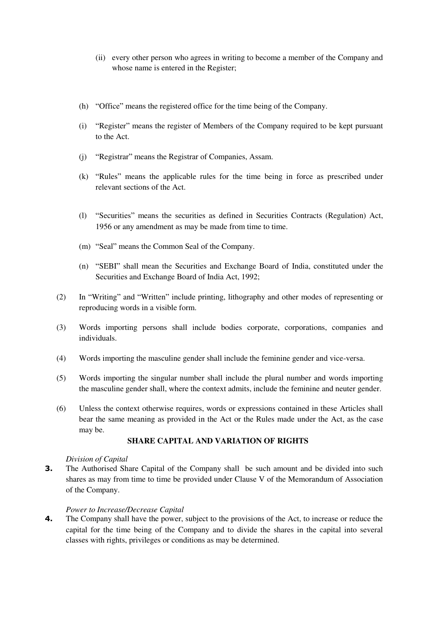- (ii) every other person who agrees in writing to become a member of the Company and whose name is entered in the Register;
- (h) "Office" means the registered office for the time being of the Company.
- (i) "Register" means the register of Members of the Company required to be kept pursuant to the Act.
- (j) "Registrar" means the Registrar of Companies, Assam.
- (k) "Rules" means the applicable rules for the time being in force as prescribed under relevant sections of the Act.
- (l) "Securities" means the securities as defined in Securities Contracts (Regulation) Act, 1956 or any amendment as may be made from time to time.
- (m) "Seal" means the Common Seal of the Company.
- (n) "SEBI" shall mean the Securities and Exchange Board of India, constituted under the Securities and Exchange Board of India Act, 1992;
- (2) In "Writing" and "Written" include printing, lithography and other modes of representing or reproducing words in a visible form.
- (3) Words importing persons shall include bodies corporate, corporations, companies and individuals.
- (4) Words importing the masculine gender shall include the feminine gender and vice-versa.
- (5) Words importing the singular number shall include the plural number and words importing the masculine gender shall, where the context admits, include the feminine and neuter gender.
- (6) Unless the context otherwise requires, words or expressions contained in these Articles shall bear the same meaning as provided in the Act or the Rules made under the Act, as the case may be.

# **SHARE CAPITAL AND VARIATION OF RIGHTS**

## *Division of Capital*

**3.** The Authorised Share Capital of the Company shall be such amount and be divided into such shares as may from time to time be provided under Clause V of the Memorandum of Association of the Company.

## *Power to Increase/Decrease Capital*

**4.** The Company shall have the power, subject to the provisions of the Act, to increase or reduce the capital for the time being of the Company and to divide the shares in the capital into several classes with rights, privileges or conditions as may be determined.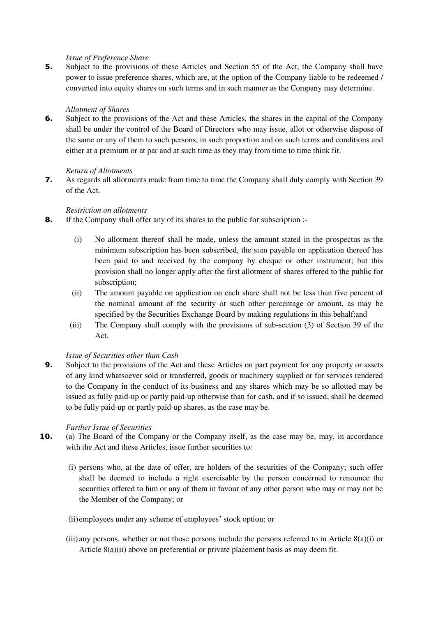## *Issue of Preference Share*

**5.** Subject to the provisions of these Articles and Section 55 of the Act, the Company shall have power to issue preference shares, which are, at the option of the Company liable to be redeemed / converted into equity shares on such terms and in such manner as the Company may determine.

## *Allotment of Shares*

**6.** Subject to the provisions of the Act and these Articles, the shares in the capital of the Company shall be under the control of the Board of Directors who may issue, allot or otherwise dispose of the same or any of them to such persons, in such proportion and on such terms and conditions and either at a premium or at par and at such time as they may from time to time think fit.

### *Return of Allotments*

**7.** As regards all allotments made from time to time the Company shall duly comply with Section 39 of the Act.

## *Restriction on allotments*

- **8.** If the Company shall offer any of its shares to the public for subscription :-
	- (i) No allotment thereof shall be made, unless the amount stated in the prospectus as the minimum subscription has been subscribed, the sum payable on application thereof has been paid to and received by the company by cheque or other instrument; but this provision shall no longer apply after the first allotment of shares offered to the public for subscription;
	- (ii) The amount payable on application on each share shall not be less than five percent of the nominal amount of the security or such other percentage or amount, as may be specified by the Securities Exchange Board by making regulations in this behalf;and
	- (iii) The Company shall comply with the provisions of sub-section (3) of Section 39 of the Act.

## *Issue of Securities other than Cash*

**9.** Subject to the provisions of the Act and these Articles on part payment for any property or assets of any kind whatsoever sold or transferred, goods or machinery supplied or for services rendered to the Company in the conduct of its business and any shares which may be so allotted may be issued as fully paid-up or partly paid-up otherwise than for cash, and if so issued, shall be deemed to be fully paid-up or partly paid-up shares, as the case may be.

#### *Further Issue of Securities*

- **10.** (a) The Board of the Company or the Company itself, as the case may be, may, in accordance with the Act and these Articles, issue further securities to:
	- (i) persons who, at the date of offer, are holders of the securities of the Company; such offer shall be deemed to include a right exercisable by the person concerned to renounce the securities offered to him or any of them in favour of any other person who may or may not be the Member of the Company; or
	- (ii)employees under any scheme of employees' stock option; or
	- (iii) any persons, whether or not those persons include the persons referred to in Article 8(a)(i) or Article 8(a)(ii) above on preferential or private placement basis as may deem fit.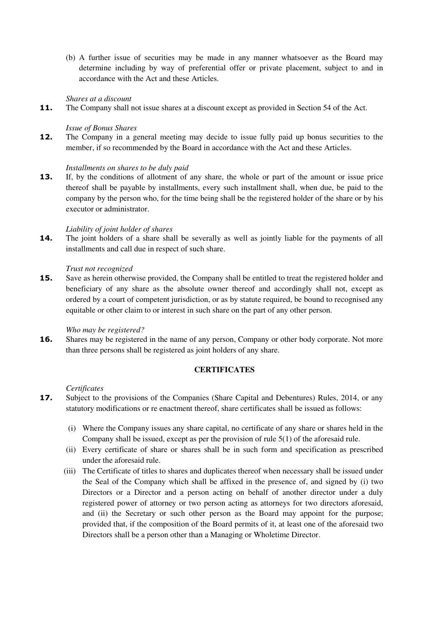(b) A further issue of securities may be made in any manner whatsoever as the Board may determine including by way of preferential offer or private placement, subject to and in accordance with the Act and these Articles.

## *Shares at a discount*

**11.** The Company shall not issue shares at a discount except as provided in Section 54 of the Act.

## *Issue of Bonus Shares*

**12.** The Company in a general meeting may decide to issue fully paid up bonus securities to the member, if so recommended by the Board in accordance with the Act and these Articles.

## *Installments on shares to be duly paid*

**13.** If, by the conditions of allotment of any share, the whole or part of the amount or issue price thereof shall be payable by installments, every such installment shall, when due, be paid to the company by the person who, for the time being shall be the registered holder of the share or by his executor or administrator.

## *Liability of joint holder of shares*

**14.** The joint holders of a share shall be severally as well as jointly liable for the payments of all installments and call due in respect of such share.

## *Trust not recognized*

**15.** Save as herein otherwise provided, the Company shall be entitled to treat the registered holder and beneficiary of any share as the absolute owner thereof and accordingly shall not, except as ordered by a court of competent jurisdiction, or as by statute required, be bound to recognised any equitable or other claim to or interest in such share on the part of any other person.

## *Who may be registered?*

**16.** Shares may be registered in the name of any person, Company or other body corporate. Not more than three persons shall be registered as joint holders of any share.

# **CERTIFICATES**

## *Certificates*

- **17.** Subject to the provisions of the Companies (Share Capital and Debentures) Rules, 2014, or any statutory modifications or re enactment thereof, share certificates shall be issued as follows:
	- (i) Where the Company issues any share capital, no certificate of any share or shares held in the Company shall be issued, except as per the provision of rule  $5(1)$  of the aforesaid rule.
	- (ii) Every certificate of share or shares shall be in such form and specification as prescribed under the aforesaid rule.
	- (iii) The Certificate of titles to shares and duplicates thereof when necessary shall be issued under the Seal of the Company which shall be affixed in the presence of, and signed by (i) two Directors or a Director and a person acting on behalf of another director under a duly registered power of attorney or two person acting as attorneys for two directors aforesaid, and (ii) the Secretary or such other person as the Board may appoint for the purpose; provided that, if the composition of the Board permits of it, at least one of the aforesaid two Directors shall be a person other than a Managing or Wholetime Director.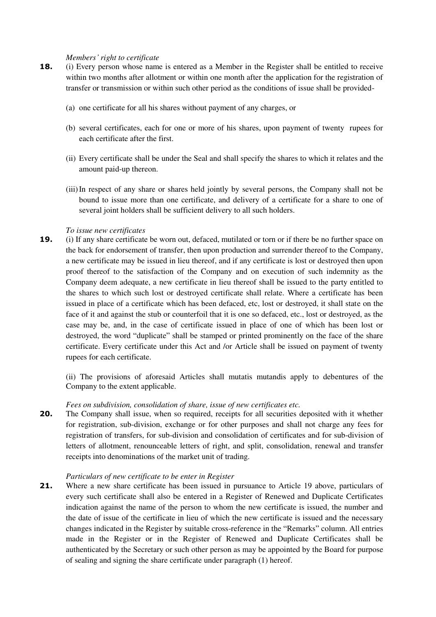#### *Members' right to certificate*

- **18.** (i) Every person whose name is entered as a Member in the Register shall be entitled to receive within two months after allotment or within one month after the application for the registration of transfer or transmission or within such other period as the conditions of issue shall be provided-
	- (a) one certificate for all his shares without payment of any charges, or
	- (b) several certificates, each for one or more of his shares, upon payment of twenty rupees for each certificate after the first.
	- (ii) Every certificate shall be under the Seal and shall specify the shares to which it relates and the amount paid-up thereon.
	- (iii)In respect of any share or shares held jointly by several persons, the Company shall not be bound to issue more than one certificate, and delivery of a certificate for a share to one of several joint holders shall be sufficient delivery to all such holders.

### *To issue new certificates*

**19.** (i) If any share certificate be worn out, defaced, mutilated or torn or if there be no further space on the back for endorsement of transfer, then upon production and surrender thereof to the Company, a new certificate may be issued in lieu thereof, and if any certificate is lost or destroyed then upon proof thereof to the satisfaction of the Company and on execution of such indemnity as the Company deem adequate, a new certificate in lieu thereof shall be issued to the party entitled to the shares to which such lost or destroyed certificate shall relate. Where a certificate has been issued in place of a certificate which has been defaced, etc, lost or destroyed, it shall state on the face of it and against the stub or counterfoil that it is one so defaced, etc., lost or destroyed, as the case may be, and, in the case of certificate issued in place of one of which has been lost or destroyed, the word "duplicate" shall be stamped or printed prominently on the face of the share certificate. Every certificate under this Act and /or Article shall be issued on payment of twenty rupees for each certificate.

(ii) The provisions of aforesaid Articles shall mutatis mutandis apply to debentures of the Company to the extent applicable.

## *Fees on subdivision, consolidation of share, issue of new certificates etc.*

**20.** The Company shall issue, when so required, receipts for all securities deposited with it whether for registration, sub-division, exchange or for other purposes and shall not charge any fees for registration of transfers, for sub-division and consolidation of certificates and for sub-division of letters of allotment, renounceable letters of right, and split, consolidation, renewal and transfer receipts into denominations of the market unit of trading.

## *Particulars of new certificate to be enter in Register*

**21.** Where a new share certificate has been issued in pursuance to Article 19 above, particulars of every such certificate shall also be entered in a Register of Renewed and Duplicate Certificates indication against the name of the person to whom the new certificate is issued, the number and the date of issue of the certificate in lieu of which the new certificate is issued and the necessary changes indicated in the Register by suitable cross-reference in the "Remarks" column. All entries made in the Register or in the Register of Renewed and Duplicate Certificates shall be authenticated by the Secretary or such other person as may be appointed by the Board for purpose of sealing and signing the share certificate under paragraph (1) hereof.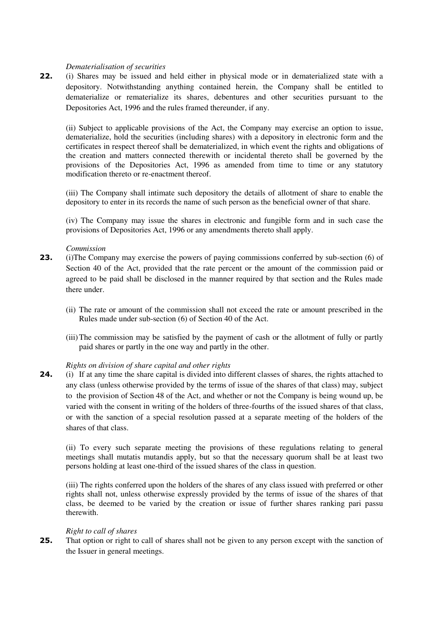### *Dematerialisation of securities*

**22.** (i) Shares may be issued and held either in physical mode or in dematerialized state with a depository. Notwithstanding anything contained herein, the Company shall be entitled to dematerialize or rematerialize its shares, debentures and other securities pursuant to the Depositories Act, 1996 and the rules framed thereunder, if any.

(ii) Subject to applicable provisions of the Act, the Company may exercise an option to issue, dematerialize, hold the securities (including shares) with a depository in electronic form and the certificates in respect thereof shall be dematerialized, in which event the rights and obligations of the creation and matters connected therewith or incidental thereto shall be governed by the provisions of the Depositories Act, 1996 as amended from time to time or any statutory modification thereto or re-enactment thereof.

(iii) The Company shall intimate such depository the details of allotment of share to enable the depository to enter in its records the name of such person as the beneficial owner of that share.

(iv) The Company may issue the shares in electronic and fungible form and in such case the provisions of Depositories Act, 1996 or any amendments thereto shall apply.

#### *Commission*

- **23.** (i)The Company may exercise the powers of paying commissions conferred by sub-section (6) of Section 40 of the Act, provided that the rate percent or the amount of the commission paid or agreed to be paid shall be disclosed in the manner required by that section and the Rules made there under.
	- (ii) The rate or amount of the commission shall not exceed the rate or amount prescribed in the Rules made under sub-section (6) of Section 40 of the Act.
	- (iii) The commission may be satisfied by the payment of cash or the allotment of fully or partly paid shares or partly in the one way and partly in the other.

## *Rights on division of share capital and other rights*

**24.** (i) If at any time the share capital is divided into different classes of shares, the rights attached to any class (unless otherwise provided by the terms of issue of the shares of that class) may, subject to the provision of Section 48 of the Act, and whether or not the Company is being wound up, be varied with the consent in writing of the holders of three-fourths of the issued shares of that class, or with the sanction of a special resolution passed at a separate meeting of the holders of the shares of that class.

(ii) To every such separate meeting the provisions of these regulations relating to general meetings shall mutatis mutandis apply, but so that the necessary quorum shall be at least two persons holding at least one-third of the issued shares of the class in question.

(iii) The rights conferred upon the holders of the shares of any class issued with preferred or other rights shall not, unless otherwise expressly provided by the terms of issue of the shares of that class, be deemed to be varied by the creation or issue of further shares ranking pari passu therewith.

#### *Right to call of shares*

**25.** That option or right to call of shares shall not be given to any person except with the sanction of the Issuer in general meetings.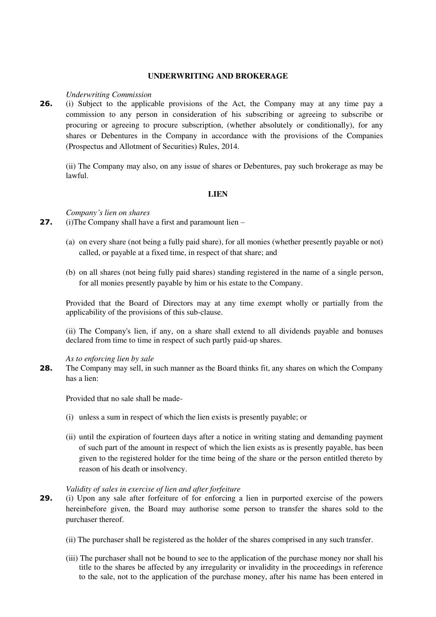## **UNDERWRITING AND BROKERAGE**

#### *Underwriting Commission*

**26.** (i) Subject to the applicable provisions of the Act, the Company may at any time pay a commission to any person in consideration of his subscribing or agreeing to subscribe or procuring or agreeing to procure subscription, (whether absolutely or conditionally), for any shares or Debentures in the Company in accordance with the provisions of the Companies (Prospectus and Allotment of Securities) Rules, 2014.

(ii) The Company may also, on any issue of shares or Debentures, pay such brokerage as may be lawful.

## **LIEN**

*Company's lien on shares* 

- **27.** (i)The Company shall have a first and paramount lien
	- (a) on every share (not being a fully paid share), for all monies (whether presently payable or not) called, or payable at a fixed time, in respect of that share; and
	- (b) on all shares (not being fully paid shares) standing registered in the name of a single person, for all monies presently payable by him or his estate to the Company.

Provided that the Board of Directors may at any time exempt wholly or partially from the applicability of the provisions of this sub-clause.

(ii) The Company's lien, if any, on a share shall extend to all dividends payable and bonuses declared from time to time in respect of such partly paid-up shares.

*As to enforcing lien by sale* 

**28.** The Company may sell, in such manner as the Board thinks fit, any shares on which the Company has a lien:

Provided that no sale shall be made-

- (i) unless a sum in respect of which the lien exists is presently payable; or
- (ii) until the expiration of fourteen days after a notice in writing stating and demanding payment of such part of the amount in respect of which the lien exists as is presently payable, has been given to the registered holder for the time being of the share or the person entitled thereto by reason of his death or insolvency.

#### *Validity of sales in exercise of lien and after forfeiture*

- **29.** (i) Upon any sale after forfeiture of for enforcing a lien in purported exercise of the powers hereinbefore given, the Board may authorise some person to transfer the shares sold to the purchaser thereof.
	- (ii) The purchaser shall be registered as the holder of the shares comprised in any such transfer.
	- (iii) The purchaser shall not be bound to see to the application of the purchase money nor shall his title to the shares be affected by any irregularity or invalidity in the proceedings in reference to the sale, not to the application of the purchase money, after his name has been entered in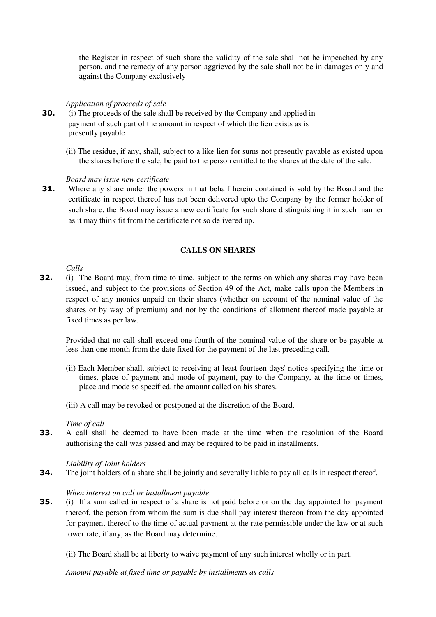the Register in respect of such share the validity of the sale shall not be impeached by any person, and the remedy of any person aggrieved by the sale shall not be in damages only and against the Company exclusively

## *Application of proceeds of sale*

- **30.** (i) The proceeds of the sale shall be received by the Company and applied in payment of such part of the amount in respect of which the lien exists as is presently payable.
	- (ii) The residue, if any, shall, subject to a like lien for sums not presently payable as existed upon the shares before the sale, be paid to the person entitled to the shares at the date of the sale.

## *Board may issue new certificate*

**31.** Where any share under the powers in that behalf herein contained is sold by the Board and the certificate in respect thereof has not been delivered upto the Company by the former holder of such share, the Board may issue a new certificate for such share distinguishing it in such manner as it may think fit from the certificate not so delivered up.

## **CALLS ON SHARES**

*Calls* 

**32.** (i) The Board may, from time to time, subject to the terms on which any shares may have been issued, and subject to the provisions of Section 49 of the Act, make calls upon the Members in respect of any monies unpaid on their shares (whether on account of the nominal value of the shares or by way of premium) and not by the conditions of allotment thereof made payable at fixed times as per law.

Provided that no call shall exceed one-fourth of the nominal value of the share or be payable at less than one month from the date fixed for the payment of the last preceding call.

- (ii) Each Member shall, subject to receiving at least fourteen days' notice specifying the time or times, place of payment and mode of payment, pay to the Company, at the time or times, place and mode so specified, the amount called on his shares.
- (iii) A call may be revoked or postponed at the discretion of the Board.

## *Time of call*

**33.** A call shall be deemed to have been made at the time when the resolution of the Board authorising the call was passed and may be required to be paid in installments.

## *Liability of Joint holders*

**34.** The joint holders of a share shall be jointly and severally liable to pay all calls in respect thereof.

## *When interest on call or installment payable*

**35.** (i) If a sum called in respect of a share is not paid before or on the day appointed for payment thereof, the person from whom the sum is due shall pay interest thereon from the day appointed for payment thereof to the time of actual payment at the rate permissible under the law or at such lower rate, if any, as the Board may determine.

(ii) The Board shall be at liberty to waive payment of any such interest wholly or in part.

*Amount payable at fixed time or payable by installments as calls*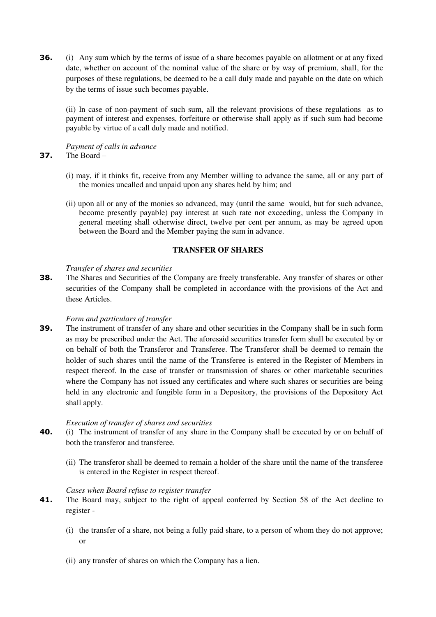**36.** (i) Any sum which by the terms of issue of a share becomes payable on allotment or at any fixed date, whether on account of the nominal value of the share or by way of premium, shall, for the purposes of these regulations, be deemed to be a call duly made and payable on the date on which by the terms of issue such becomes payable.

(ii) In case of non-payment of such sum, all the relevant provisions of these regulations as to payment of interest and expenses, forfeiture or otherwise shall apply as if such sum had become payable by virtue of a call duly made and notified.

*Payment of calls in advance*  **37.** The Board –

- (i) may, if it thinks fit, receive from any Member willing to advance the same, all or any part of the monies uncalled and unpaid upon any shares held by him; and
- (ii) upon all or any of the monies so advanced, may (until the same would, but for such advance, become presently payable) pay interest at such rate not exceeding, unless the Company in general meeting shall otherwise direct, twelve per cent per annum, as may be agreed upon between the Board and the Member paying the sum in advance.

## **TRANSFER OF SHARES**

### *Transfer of shares and securities*

**38.** The Shares and Securities of the Company are freely transferable. Any transfer of shares or other securities of the Company shall be completed in accordance with the provisions of the Act and these Articles.

## *Form and particulars of transfer*

**39.** The instrument of transfer of any share and other securities in the Company shall be in such form as may be prescribed under the Act. The aforesaid securities transfer form shall be executed by or on behalf of both the Transferor and Transferee. The Transferor shall be deemed to remain the holder of such shares until the name of the Transferee is entered in the Register of Members in respect thereof. In the case of transfer or transmission of shares or other marketable securities where the Company has not issued any certificates and where such shares or securities are being held in any electronic and fungible form in a Depository, the provisions of the Depository Act shall apply.

## *Execution of transfer of shares and securities*

- **40.** (i) The instrument of transfer of any share in the Company shall be executed by or on behalf of both the transferor and transferee.
	- (ii) The transferor shall be deemed to remain a holder of the share until the name of the transferee is entered in the Register in respect thereof.

## *Cases when Board refuse to register transfer*

- **41.** The Board may, subject to the right of appeal conferred by Section 58 of the Act decline to register -
	- (i) the transfer of a share, not being a fully paid share, to a person of whom they do not approve; or
	- (ii) any transfer of shares on which the Company has a lien.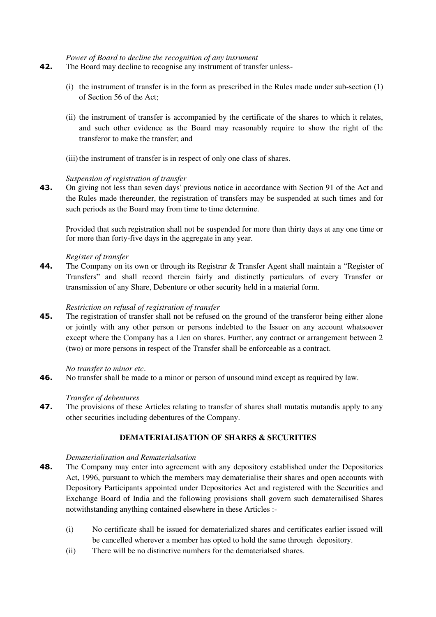#### *Power of Board to decline the recognition of any insrument*

- **42.** The Board may decline to recognise any instrument of transfer unless-
	- (i) the instrument of transfer is in the form as prescribed in the Rules made under sub-section (1) of Section 56 of the Act;
	- (ii) the instrument of transfer is accompanied by the certificate of the shares to which it relates, and such other evidence as the Board may reasonably require to show the right of the transferor to make the transfer; and
	- (iii) the instrument of transfer is in respect of only one class of shares.

## *Suspension of registration of transfer*

**43.** On giving not less than seven days' previous notice in accordance with Section 91 of the Act and the Rules made thereunder, the registration of transfers may be suspended at such times and for such periods as the Board may from time to time determine.

Provided that such registration shall not be suspended for more than thirty days at any one time or for more than forty-five days in the aggregate in any year.

## *Register of transfer*

**44.** The Company on its own or through its Registrar & Transfer Agent shall maintain a "Register of Transfers" and shall record therein fairly and distinctly particulars of every Transfer or transmission of any Share, Debenture or other security held in a material form.

## *Restriction on refusal of registration of transfer*

**45.** The registration of transfer shall not be refused on the ground of the transferor being either alone or jointly with any other person or persons indebted to the Issuer on any account whatsoever except where the Company has a Lien on shares. Further, any contract or arrangement between 2 (two) or more persons in respect of the Transfer shall be enforceable as a contract.

## *No transfer to minor etc*.

**46.** No transfer shall be made to a minor or person of unsound mind except as required by law.

## *Transfer of debentures*

**47.** The provisions of these Articles relating to transfer of shares shall mutatis mutandis apply to any other securities including debentures of the Company.

# **DEMATERIALISATION OF SHARES & SECURITIES**

## *Dematerialisation and Rematerialsation*

- **48.** The Company may enter into agreement with any depository established under the Depositories Act, 1996, pursuant to which the members may dematerialise their shares and open accounts with Depository Participants appointed under Depositories Act and registered with the Securities and Exchange Board of India and the following provisions shall govern such dematerailised Shares notwithstanding anything contained elsewhere in these Articles :-
	- (i) No certificate shall be issued for dematerialized shares and certificates earlier issued will be cancelled wherever a member has opted to hold the same through depository.
	- (ii) There will be no distinctive numbers for the dematerialsed shares.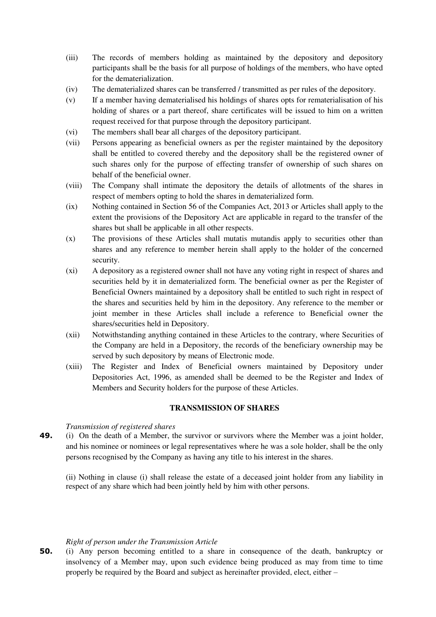- (iii) The records of members holding as maintained by the depository and depository participants shall be the basis for all purpose of holdings of the members, who have opted for the dematerialization.
- (iv) The dematerialized shares can be transferred / transmitted as per rules of the depository.
- (v) If a member having dematerialised his holdings of shares opts for rematerialisation of his holding of shares or a part thereof, share certificates will be issued to him on a written request received for that purpose through the depository participant.
- (vi) The members shall bear all charges of the depository participant.
- (vii) Persons appearing as beneficial owners as per the register maintained by the depository shall be entitled to covered thereby and the depository shall be the registered owner of such shares only for the purpose of effecting transfer of ownership of such shares on behalf of the beneficial owner.
- (viii) The Company shall intimate the depository the details of allotments of the shares in respect of members opting to hold the shares in dematerialized form.
- (ix) Nothing contained in Section 56 of the Companies Act, 2013 or Articles shall apply to the extent the provisions of the Depository Act are applicable in regard to the transfer of the shares but shall be applicable in all other respects.
- (x) The provisions of these Articles shall mutatis mutandis apply to securities other than shares and any reference to member herein shall apply to the holder of the concerned security.
- (xi) A depository as a registered owner shall not have any voting right in respect of shares and securities held by it in dematerialized form. The beneficial owner as per the Register of Beneficial Owners maintained by a depository shall be entitled to such right in respect of the shares and securities held by him in the depository. Any reference to the member or joint member in these Articles shall include a reference to Beneficial owner the shares/securities held in Depository.
- (xii) Notwithstanding anything contained in these Articles to the contrary, where Securities of the Company are held in a Depository, the records of the beneficiary ownership may be served by such depository by means of Electronic mode.
- (xiii) The Register and Index of Beneficial owners maintained by Depository under Depositories Act, 1996, as amended shall be deemed to be the Register and Index of Members and Security holders for the purpose of these Articles.

## **TRANSMISSION OF SHARES**

## *Transmission of registered shares*

**49.** (i) On the death of a Member, the survivor or survivors where the Member was a joint holder, and his nominee or nominees or legal representatives where he was a sole holder, shall be the only persons recognised by the Company as having any title to his interest in the shares.

(ii) Nothing in clause (i) shall release the estate of a deceased joint holder from any liability in respect of any share which had been jointly held by him with other persons.

## *Right of person under the Transmission Article*

**50.** (i) Any person becoming entitled to a share in consequence of the death, bankruptcy or insolvency of a Member may, upon such evidence being produced as may from time to time properly be required by the Board and subject as hereinafter provided, elect, either –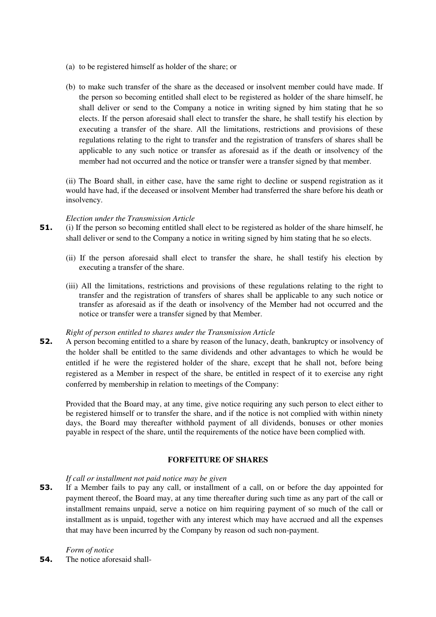- (a) to be registered himself as holder of the share; or
- (b) to make such transfer of the share as the deceased or insolvent member could have made. If the person so becoming entitled shall elect to be registered as holder of the share himself, he shall deliver or send to the Company a notice in writing signed by him stating that he so elects. If the person aforesaid shall elect to transfer the share, he shall testify his election by executing a transfer of the share. All the limitations, restrictions and provisions of these regulations relating to the right to transfer and the registration of transfers of shares shall be applicable to any such notice or transfer as aforesaid as if the death or insolvency of the member had not occurred and the notice or transfer were a transfer signed by that member.

(ii) The Board shall, in either case, have the same right to decline or suspend registration as it would have had, if the deceased or insolvent Member had transferred the share before his death or insolvency.

### *Election under the Transmission Article*

- **51.** (i) If the person so becoming entitled shall elect to be registered as holder of the share himself, he shall deliver or send to the Company a notice in writing signed by him stating that he so elects.
	- (ii) If the person aforesaid shall elect to transfer the share, he shall testify his election by executing a transfer of the share.
	- (iii) All the limitations, restrictions and provisions of these regulations relating to the right to transfer and the registration of transfers of shares shall be applicable to any such notice or transfer as aforesaid as if the death or insolvency of the Member had not occurred and the notice or transfer were a transfer signed by that Member.

## *Right of person entitled to shares under the Transmission Article*

**52.** A person becoming entitled to a share by reason of the lunacy, death, bankruptcy or insolvency of the holder shall be entitled to the same dividends and other advantages to which he would be entitled if he were the registered holder of the share, except that he shall not, before being registered as a Member in respect of the share, be entitled in respect of it to exercise any right conferred by membership in relation to meetings of the Company:

Provided that the Board may, at any time, give notice requiring any such person to elect either to be registered himself or to transfer the share, and if the notice is not complied with within ninety days, the Board may thereafter withhold payment of all dividends, bonuses or other monies payable in respect of the share, until the requirements of the notice have been complied with.

## **FORFEITURE OF SHARES**

## *If call or installment not paid notice may be given*

**53.** If a Member fails to pay any call, or installment of a call, on or before the day appointed for payment thereof, the Board may, at any time thereafter during such time as any part of the call or installment remains unpaid, serve a notice on him requiring payment of so much of the call or installment as is unpaid, together with any interest which may have accrued and all the expenses that may have been incurred by the Company by reason od such non-payment.

# *Form of notice*

**54.** The notice aforesaid shall-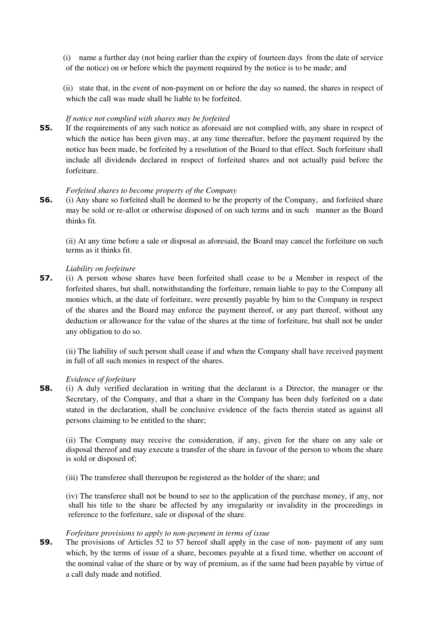(i) name a further day (not being earlier than the expiry of fourteen days from the date of service of the notice) on or before which the payment required by the notice is to be made; and

(ii) state that, in the event of non-payment on or before the day so named, the shares in respect of which the call was made shall be liable to be forfeited.

## *If notice not complied with shares may be forfeited*

**55.** If the requirements of any such notice as aforesaid are not complied with, any share in respect of which the notice has been given may, at any time thereafter, before the payment required by the notice has been made, be forfeited by a resolution of the Board to that effect. Such forfeiture shall include all dividends declared in respect of forfeited shares and not actually paid before the forfeiture.

## *Forfeited shares to become property of the Company*

**56.** (i) Any share so forfeited shall be deemed to be the property of the Company, and forfeited share may be sold or re-allot or otherwise disposed of on such terms and in such manner as the Board thinks fit.

(ii) At any time before a sale or disposal as aforesaid, the Board may cancel the forfeiture on such terms as it thinks fit.

## *Liability on forfeiture*

**57.** (i) A person whose shares have been forfeited shall cease to be a Member in respect of the forfeited shares, but shall, notwithstanding the forfeiture, remain liable to pay to the Company all monies which, at the date of forfeiture, were presently payable by him to the Company in respect of the shares and the Board may enforce the payment thereof, or any part thereof, without any deduction or allowance for the value of the shares at the time of forfeiture, but shall not be under any obligation to do so.

(ii) The liability of such person shall cease if and when the Company shall have received payment in full of all such monies in respect of the shares.

## *Evidence of forfeiture*

**58.** (i) A duly verified declaration in writing that the declarant is a Director, the manager or the Secretary, of the Company, and that a share in the Company has been duly forfeited on a date stated in the declaration, shall be conclusive evidence of the facts therein stated as against all persons claiming to be entitled to the share;

(ii) The Company may receive the consideration, if any, given for the share on any sale or disposal thereof and may execute a transfer of the share in favour of the person to whom the share is sold or disposed of;

(iii) The transferee shall thereupon be registered as the holder of the share; and

(iv) The transferee shall not be bound to see to the application of the purchase money, if any, nor shall his title to the share be affected by any irregularity or invalidity in the proceedings in reference to the forfeiture, sale or disposal of the share.

## *Forfeiture provisions to apply to non-payment in terms of issue*

**59.** The provisions of Articles 52 to 57 hereof shall apply in the case of non- payment of any sum which, by the terms of issue of a share, becomes payable at a fixed time, whether on account of the nominal value of the share or by way of premium, as if the same had been payable by virtue of a call duly made and notified.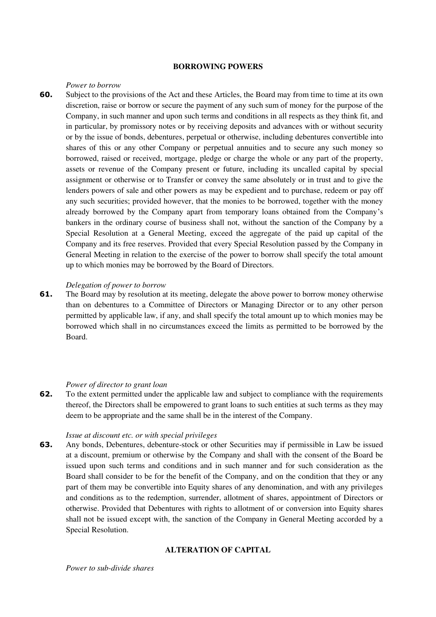#### **BORROWING POWERS**

#### *Power to borrow*

**60.** Subject to the provisions of the Act and these Articles, the Board may from time to time at its own discretion, raise or borrow or secure the payment of any such sum of money for the purpose of the Company, in such manner and upon such terms and conditions in all respects as they think fit, and in particular, by promissory notes or by receiving deposits and advances with or without security or by the issue of bonds, debentures, perpetual or otherwise, including debentures convertible into shares of this or any other Company or perpetual annuities and to secure any such money so borrowed, raised or received, mortgage, pledge or charge the whole or any part of the property, assets or revenue of the Company present or future, including its uncalled capital by special assignment or otherwise or to Transfer or convey the same absolutely or in trust and to give the lenders powers of sale and other powers as may be expedient and to purchase, redeem or pay off any such securities; provided however, that the monies to be borrowed, together with the money already borrowed by the Company apart from temporary loans obtained from the Company's bankers in the ordinary course of business shall not, without the sanction of the Company by a Special Resolution at a General Meeting, exceed the aggregate of the paid up capital of the Company and its free reserves. Provided that every Special Resolution passed by the Company in General Meeting in relation to the exercise of the power to borrow shall specify the total amount up to which monies may be borrowed by the Board of Directors.

#### *Delegation of power to borrow*

**61.** The Board may by resolution at its meeting, delegate the above power to borrow money otherwise than on debentures to a Committee of Directors or Managing Director or to any other person permitted by applicable law, if any, and shall specify the total amount up to which monies may be borrowed which shall in no circumstances exceed the limits as permitted to be borrowed by the Board.

#### *Power of director to grant loan*

**62.** To the extent permitted under the applicable law and subject to compliance with the requirements thereof, the Directors shall be empowered to grant loans to such entities at such terms as they may deem to be appropriate and the same shall be in the interest of the Company.

#### *Issue at discount etc. or with special privileges*

**63.** Any bonds, Debentures, debenture-stock or other Securities may if permissible in Law be issued at a discount, premium or otherwise by the Company and shall with the consent of the Board be issued upon such terms and conditions and in such manner and for such consideration as the Board shall consider to be for the benefit of the Company, and on the condition that they or any part of them may be convertible into Equity shares of any denomination, and with any privileges and conditions as to the redemption, surrender, allotment of shares, appointment of Directors or otherwise. Provided that Debentures with rights to allotment of or conversion into Equity shares shall not be issued except with, the sanction of the Company in General Meeting accorded by a Special Resolution.

## **ALTERATION OF CAPITAL**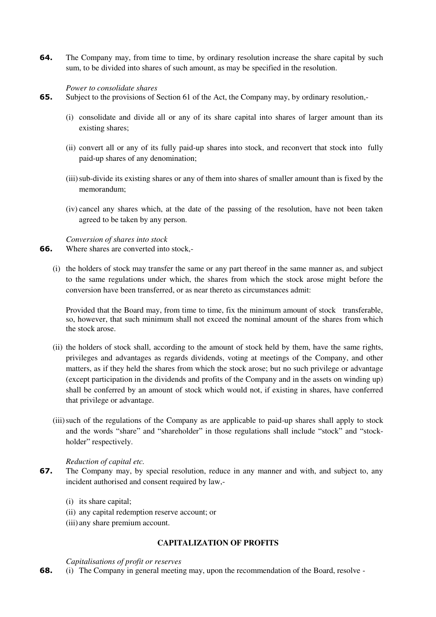**64.** The Company may, from time to time, by ordinary resolution increase the share capital by such sum, to be divided into shares of such amount, as may be specified in the resolution.

## *Power to consolidate shares*

- **65.** Subject to the provisions of Section 61 of the Act, the Company may, by ordinary resolution,-
	- (i) consolidate and divide all or any of its share capital into shares of larger amount than its existing shares;
	- (ii) convert all or any of its fully paid-up shares into stock, and reconvert that stock into fully paid-up shares of any denomination;
	- (iii)sub-divide its existing shares or any of them into shares of smaller amount than is fixed by the memorandum;
	- (iv) cancel any shares which, at the date of the passing of the resolution, have not been taken agreed to be taken by any person.

*Conversion of shares into stock* 

- **66.** Where shares are converted into stock,-
	- (i) the holders of stock may transfer the same or any part thereof in the same manner as, and subject to the same regulations under which, the shares from which the stock arose might before the conversion have been transferred, or as near thereto as circumstances admit:

Provided that the Board may, from time to time, fix the minimum amount of stock transferable, so, however, that such minimum shall not exceed the nominal amount of the shares from which the stock arose.

- (ii) the holders of stock shall, according to the amount of stock held by them, have the same rights, privileges and advantages as regards dividends, voting at meetings of the Company, and other matters, as if they held the shares from which the stock arose; but no such privilege or advantage (except participation in the dividends and profits of the Company and in the assets on winding up) shall be conferred by an amount of stock which would not, if existing in shares, have conferred that privilege or advantage.
- (iii)such of the regulations of the Company as are applicable to paid-up shares shall apply to stock and the words "share" and "shareholder" in those regulations shall include "stock" and "stockholder" respectively.

## *Reduction of capital etc.*

- **67.** The Company may, by special resolution, reduce in any manner and with, and subject to, any incident authorised and consent required by law,-
	- (i) its share capital;
	- (ii) any capital redemption reserve account; or
	- (iii) any share premium account.

## **CAPITALIZATION OF PROFITS**

#### *Capitalisations of profit or reserves*

**68.** (i) The Company in general meeting may, upon the recommendation of the Board, resolve -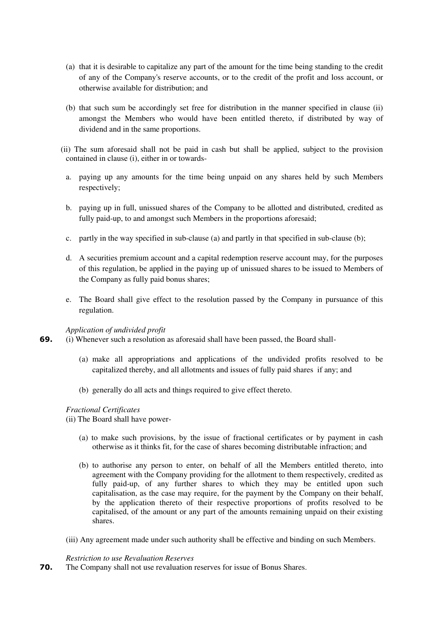- (a) that it is desirable to capitalize any part of the amount for the time being standing to the credit of any of the Company's reserve accounts, or to the credit of the profit and loss account, or otherwise available for distribution; and
- (b) that such sum be accordingly set free for distribution in the manner specified in clause (ii) amongst the Members who would have been entitled thereto, if distributed by way of dividend and in the same proportions.
- (ii) The sum aforesaid shall not be paid in cash but shall be applied, subject to the provision contained in clause (i), either in or towards
	- a. paying up any amounts for the time being unpaid on any shares held by such Members respectively;
	- b. paying up in full, unissued shares of the Company to be allotted and distributed, credited as fully paid-up, to and amongst such Members in the proportions aforesaid;
	- c. partly in the way specified in sub-clause (a) and partly in that specified in sub-clause (b);
	- d. A securities premium account and a capital redemption reserve account may, for the purposes of this regulation, be applied in the paying up of unissued shares to be issued to Members of the Company as fully paid bonus shares;
	- e. The Board shall give effect to the resolution passed by the Company in pursuance of this regulation.

## *Application of undivided profit*

- **69.** (i) Whenever such a resolution as aforesaid shall have been passed, the Board shall-
	- (a) make all appropriations and applications of the undivided profits resolved to be capitalized thereby, and all allotments and issues of fully paid shares if any; and
	- (b) generally do all acts and things required to give effect thereto.

## *Fractional Certificates*

(ii) The Board shall have power-

- (a) to make such provisions, by the issue of fractional certificates or by payment in cash otherwise as it thinks fit, for the case of shares becoming distributable infraction; and
- (b) to authorise any person to enter, on behalf of all the Members entitled thereto, into agreement with the Company providing for the allotment to them respectively, credited as fully paid-up, of any further shares to which they may be entitled upon such capitalisation, as the case may require, for the payment by the Company on their behalf, by the application thereto of their respective proportions of profits resolved to be capitalised, of the amount or any part of the amounts remaining unpaid on their existing shares.
- (iii) Any agreement made under such authority shall be effective and binding on such Members.

## *Restriction to use Revaluation Reserves*

**70.** The Company shall not use revaluation reserves for issue of Bonus Shares.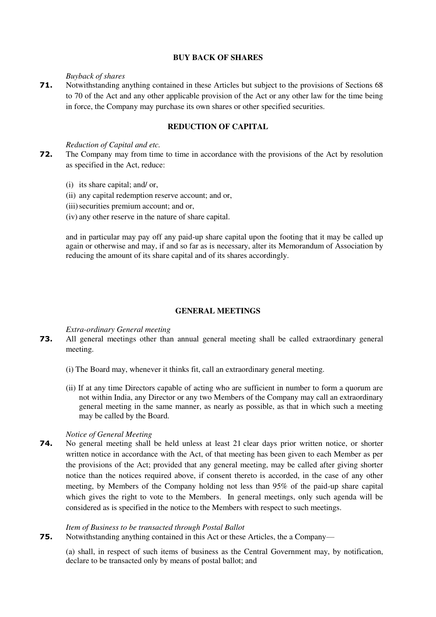## **BUY BACK OF SHARES**

## *Buyback of shares*

**71.** Notwithstanding anything contained in these Articles but subject to the provisions of Sections 68 to 70 of the Act and any other applicable provision of the Act or any other law for the time being in force, the Company may purchase its own shares or other specified securities.

# **REDUCTION OF CAPITAL**

## *Reduction of Capital and etc.*

- **72.** The Company may from time to time in accordance with the provisions of the Act by resolution as specified in the Act, reduce:
	- (i) its share capital; and/ or,
	- (ii) any capital redemption reserve account; and or,
	- (iii) securities premium account; and or,
	- (iv) any other reserve in the nature of share capital.

and in particular may pay off any paid-up share capital upon the footing that it may be called up again or otherwise and may, if and so far as is necessary, alter its Memorandum of Association by reducing the amount of its share capital and of its shares accordingly.

## **GENERAL MEETINGS**

## *Extra-ordinary General meeting*

- **73.** All general meetings other than annual general meeting shall be called extraordinary general meeting.
	- (i) The Board may, whenever it thinks fit, call an extraordinary general meeting.
	- (ii) If at any time Directors capable of acting who are sufficient in number to form a quorum are not within India, any Director or any two Members of the Company may call an extraordinary general meeting in the same manner, as nearly as possible, as that in which such a meeting may be called by the Board.

## *Notice of General Meeting*

**74.** No general meeting shall be held unless at least 21 clear days prior written notice, or shorter written notice in accordance with the Act, of that meeting has been given to each Member as per the provisions of the Act; provided that any general meeting, may be called after giving shorter notice than the notices required above, if consent thereto is accorded, in the case of any other meeting, by Members of the Company holding not less than 95% of the paid-up share capital which gives the right to vote to the Members. In general meetings, only such agenda will be considered as is specified in the notice to the Members with respect to such meetings.

## *Item of Business to be transacted through Postal Ballot*

**75.** Notwithstanding anything contained in this Act or these Articles, the a Company—

(a) shall, in respect of such items of business as the Central Government may, by notification, declare to be transacted only by means of postal ballot; and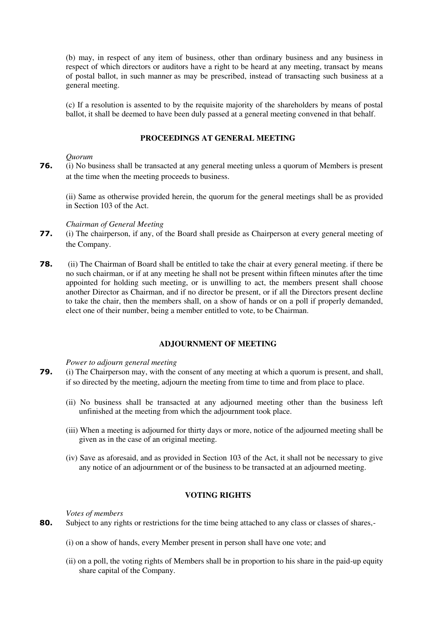(b) may, in respect of any item of business, other than ordinary business and any business in respect of which directors or auditors have a right to be heard at any meeting, transact by means of postal ballot, in such manne[r as may be prescribed,](http://ebook.mca.gov.in/Actpagedisplay.aspx?PAGENAME=18038) instead of transacting such business at a general meeting.

(c) If a resolution is assented to by the requisite majority of the shareholders by means of postal ballot, it shall be deemed to have been duly passed at a general meeting convened in that behalf.

## **PROCEEDINGS AT GENERAL MEETING**

## *Quorum*

**76.** (i) No business shall be transacted at any general meeting unless a quorum of Members is present at the time when the meeting proceeds to business.

(ii) Same as otherwise provided herein, the quorum for the general meetings shall be as provided in Section 103 of the Act.

#### *Chairman of General Meeting*

- **77.** (i) The chairperson, if any, of the Board shall preside as Chairperson at every general meeting of the Company.
- **78.** (ii) The Chairman of Board shall be entitled to take the chair at every general meeting. if there be no such chairman, or if at any meeting he shall not be present within fifteen minutes after the time appointed for holding such meeting, or is unwilling to act, the members present shall choose another Director as Chairman, and if no director be present, or if all the Directors present decline to take the chair, then the members shall, on a show of hands or on a poll if properly demanded, elect one of their number, being a member entitled to vote, to be Chairman.

## **ADJOURNMENT OF MEETING**

#### *Power to adjourn general meeting*

- **79.** (i) The Chairperson may, with the consent of any meeting at which a quorum is present, and shall, if so directed by the meeting, adjourn the meeting from time to time and from place to place.
	- (ii) No business shall be transacted at any adjourned meeting other than the business left unfinished at the meeting from which the adjournment took place.
	- (iii) When a meeting is adjourned for thirty days or more, notice of the adjourned meeting shall be given as in the case of an original meeting.
	- (iv) Save as aforesaid, and as provided in Section 103 of the Act, it shall not be necessary to give any notice of an adjournment or of the business to be transacted at an adjourned meeting.

## **VOTING RIGHTS**

*Votes of members* 

- **80.** Subject to any rights or restrictions for the time being attached to any class or classes of shares,-
	- (i) on a show of hands, every Member present in person shall have one vote; and
	- (ii) on a poll, the voting rights of Members shall be in proportion to his share in the paid-up equity share capital of the Company.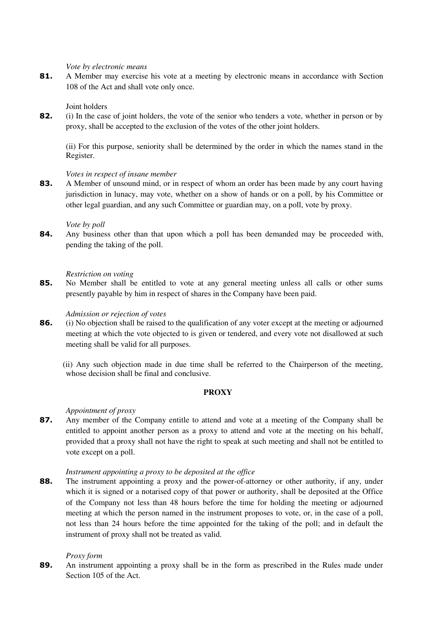### *Vote by electronic means*

81. A Member may exercise his vote at a meeting by electronic means in accordance with Section 108 of the Act and shall vote only once.

## Joint holders

**82.** (i) In the case of joint holders, the vote of the senior who tenders a vote, whether in person or by proxy, shall be accepted to the exclusion of the votes of the other joint holders.

(ii) For this purpose, seniority shall be determined by the order in which the names stand in the Register.

## *Votes in respect of insane member*

**83.** A Member of unsound mind, or in respect of whom an order has been made by any court having jurisdiction in lunacy, may vote, whether on a show of hands or on a poll, by his Committee or other legal guardian, and any such Committee or guardian may, on a poll, vote by proxy.

## *Vote by poll*

**84.** Any business other than that upon which a poll has been demanded may be proceeded with, pending the taking of the poll.

## *Restriction on voting*

**85.** No Member shall be entitled to vote at any general meeting unless all calls or other sums presently payable by him in respect of shares in the Company have been paid.

## *Admission or rejection of votes*

- **86.** (i) No objection shall be raised to the qualification of any voter except at the meeting or adjourned meeting at which the vote objected to is given or tendered, and every vote not disallowed at such meeting shall be valid for all purposes.
	- (ii) Any such objection made in due time shall be referred to the Chairperson of the meeting, whose decision shall be final and conclusive.

## **PROXY**

# *Appointment of proxy*

**87.** Any member of the Company entitle to attend and vote at a meeting of the Company shall be entitled to appoint another person as a proxy to attend and vote at the meeting on his behalf, provided that a proxy shall not have the right to speak at such meeting and shall not be entitled to vote except on a poll.

## *Instrument appointing a proxy to be deposited at the office*

**88.** The instrument appointing a proxy and the power-of-attorney or other authority, if any, under which it is signed or a notarised copy of that power or authority, shall be deposited at the Office of the Company not less than 48 hours before the time for holding the meeting or adjourned meeting at which the person named in the instrument proposes to vote, or, in the case of a poll, not less than 24 hours before the time appointed for the taking of the poll; and in default the instrument of proxy shall not be treated as valid.

## *Proxy form*

**89.** An instrument appointing a proxy shall be in the form as prescribed in the Rules made under Section 105 of the Act.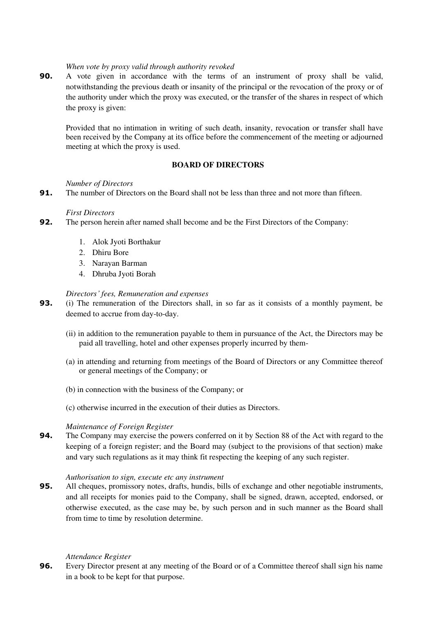## *When vote by proxy valid through authority revoked*

**90.** A vote given in accordance with the terms of an instrument of proxy shall be valid, notwithstanding the previous death or insanity of the principal or the revocation of the proxy or of the authority under which the proxy was executed, or the transfer of the shares in respect of which the proxy is given:

Provided that no intimation in writing of such death, insanity, revocation or transfer shall have been received by the Company at its office before the commencement of the meeting or adjourned meeting at which the proxy is used.

## **BOARD OF DIRECTORS**

#### *Number of Directors*

**91.** The number of Directors on the Board shall not be less than three and not more than fifteen.

### *First Directors*

- **92.** The person herein after named shall become and be the First Directors of the Company:
	- 1. Alok Jyoti Borthakur
	- 2. Dhiru Bore
	- 3. Narayan Barman
	- 4. Dhruba Jyoti Borah

### *Directors' fees, Remuneration and expenses*

- **93.** (i) The remuneration of the Directors shall, in so far as it consists of a monthly payment, be deemed to accrue from day-to-day.
	- (ii) in addition to the remuneration payable to them in pursuance of the Act, the Directors may be paid all travelling, hotel and other expenses properly incurred by them-
	- (a) in attending and returning from meetings of the Board of Directors or any Committee thereof or general meetings of the Company; or
	- (b) in connection with the business of the Company; or
	- (c) otherwise incurred in the execution of their duties as Directors.

## *Maintenance of Foreign Register*

**94.** The Company may exercise the powers conferred on it by Section 88 of the Act with regard to the keeping of a foreign register; and the Board may (subject to the provisions of that section) make and vary such regulations as it may think fit respecting the keeping of any such register.

## *Authorisation to sign, execute etc any instrument*

**95.** All cheques, promissory notes, drafts, hundis, bills of exchange and other negotiable instruments, and all receipts for monies paid to the Company, shall be signed, drawn, accepted, endorsed, or otherwise executed, as the case may be, by such person and in such manner as the Board shall from time to time by resolution determine.

#### *Attendance Register*

**96.** Every Director present at any meeting of the Board or of a Committee thereof shall sign his name in a book to be kept for that purpose.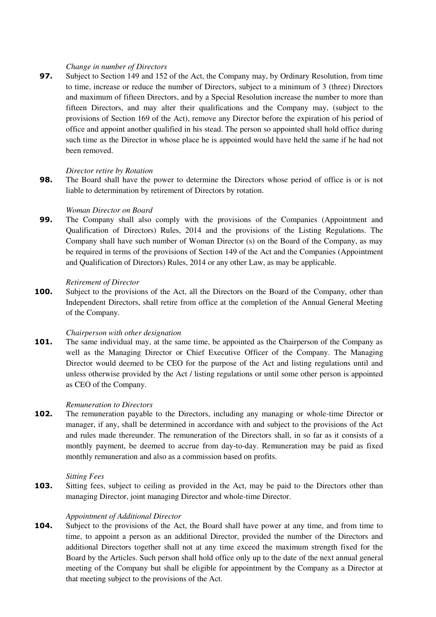## *Change in number of Directors*

**97.** Subject to Section 149 and 152 of the Act, the Company may, by Ordinary Resolution, from time to time, increase or reduce the number of Directors, subject to a minimum of 3 (three) Directors and maximum of fifteen Directors, and by a Special Resolution increase the number to more than fifteen Directors, and may alter their qualifications and the Company may, (subject to the provisions of Section 169 of the Act), remove any Director before the expiration of his period of office and appoint another qualified in his stead. The person so appointed shall hold office during such time as the Director in whose place he is appointed would have held the same if he had not been removed.

### *Director retire by Rotation*

**98.** The Board shall have the power to determine the Directors whose period of office is or is not liable to determination by retirement of Directors by rotation.

#### *Woman Director on Board*

**99.** The Company shall also comply with the provisions of the Companies (Appointment and Qualification of Directors) Rules, 2014 and the provisions of the Listing Regulations. The Company shall have such number of Woman Director (s) on the Board of the Company, as may be required in terms of the provisions of Section 149 of the Act and the Companies (Appointment and Qualification of Directors) Rules, 2014 or any other Law, as may be applicable.

### *Retirement of Director*

**100.** Subject to the provisions of the Act, all the Directors on the Board of the Company, other than Independent Directors, shall retire from office at the completion of the Annual General Meeting of the Company.

## *Chairperson with other designation*

**101.** The same individual may, at the same time, be appointed as the Chairperson of the Company as well as the Managing Director or Chief Executive Officer of the Company. The Managing Director would deemed to be CEO for the purpose of the Act and listing regulations until and unless otherwise provided by the Act / listing regulations or until some other person is appointed as CEO of the Company.

#### *Remuneration to Directors*

**102.** The remuneration payable to the Directors, including any managing or whole-time Director or manager, if any, shall be determined in accordance with and subject to the provisions of the Act and rules made thereunder. The remuneration of the Directors shall, in so far as it consists of a monthly payment, be deemed to accrue from day-to-day. Remuneration may be paid as fixed monthly remuneration and also as a commission based on profits.

#### *Sitting Fees*

**103.** Sitting fees, subject to ceiling as provided in the Act, may be paid to the Directors other than managing Director, joint managing Director and whole-time Director.

## *Appointment of Additional Director*

**104.** Subject to the provisions of the Act, the Board shall have power at any time, and from time to time, to appoint a person as an additional Director, provided the number of the Directors and additional Directors together shall not at any time exceed the maximum strength fixed for the Board by the Articles. Such person shall hold office only up to the date of the next annual general meeting of the Company but shall be eligible for appointment by the Company as a Director at that meeting subject to the provisions of the Act.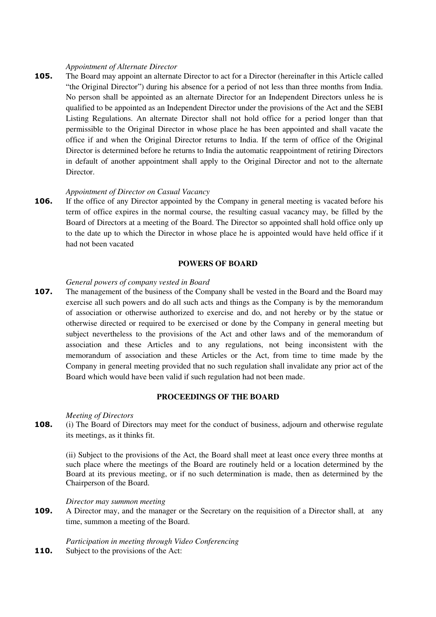#### *Appointment of Alternate Director*

**105.** The Board may appoint an alternate Director to act for a Director (hereinafter in this Article called "the Original Director") during his absence for a period of not less than three months from India. No person shall be appointed as an alternate Director for an Independent Directors unless he is qualified to be appointed as an Independent Director under the provisions of the Act and the SEBI Listing Regulations. An alternate Director shall not hold office for a period longer than that permissible to the Original Director in whose place he has been appointed and shall vacate the office if and when the Original Director returns to India. If the term of office of the Original Director is determined before he returns to India the automatic reappointment of retiring Directors in default of another appointment shall apply to the Original Director and not to the alternate Director.

### *Appointment of Director on Casual Vacancy*

**106.** If the office of any Director appointed by the Company in general meeting is vacated before his term of office expires in the normal course, the resulting casual vacancy may, be filled by the Board of Directors at a meeting of the Board. The Director so appointed shall hold office only up to the date up to which the Director in whose place he is appointed would have held office if it had not been vacated

### **POWERS OF BOARD**

### *General powers of company vested in Board*

**107.** The management of the business of the Company shall be vested in the Board and the Board may exercise all such powers and do all such acts and things as the Company is by the memorandum of association or otherwise authorized to exercise and do, and not hereby or by the statue or otherwise directed or required to be exercised or done by the Company in general meeting but subject nevertheless to the provisions of the Act and other laws and of the memorandum of association and these Articles and to any regulations, not being inconsistent with the memorandum of association and these Articles or the Act, from time to time made by the Company in general meeting provided that no such regulation shall invalidate any prior act of the Board which would have been valid if such regulation had not been made.

### **PROCEEDINGS OF THE BOARD**

#### *Meeting of Directors*

**108.** (i) The Board of Directors may meet for the conduct of business, adjourn and otherwise regulate its meetings, as it thinks fit.

(ii) Subject to the provisions of the Act, the Board shall meet at least once every three months at such place where the meetings of the Board are routinely held or a location determined by the Board at its previous meeting, or if no such determination is made, then as determined by the Chairperson of the Board.

### *Director may summon meeting*

**109.** A Director may, and the manager or the Secretary on the requisition of a Director shall, at any time, summon a meeting of the Board.

*Participation in meeting through Video Conferencing*  **110.** Subject to the provisions of the Act: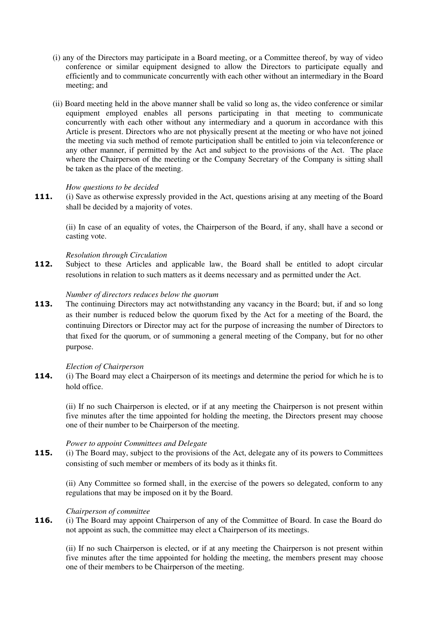- (i) any of the Directors may participate in a Board meeting, or a Committee thereof, by way of video conference or similar equipment designed to allow the Directors to participate equally and efficiently and to communicate concurrently with each other without an intermediary in the Board meeting; and
- (ii) Board meeting held in the above manner shall be valid so long as, the video conference or similar equipment employed enables all persons participating in that meeting to communicate concurrently with each other without any intermediary and a quorum in accordance with this Article is present. Directors who are not physically present at the meeting or who have not joined the meeting via such method of remote participation shall be entitled to join via teleconference or any other manner, if permitted by the Act and subject to the provisions of the Act. The place where the Chairperson of the meeting or the Company Secretary of the Company is sitting shall be taken as the place of the meeting.

### *How questions to be decided*

**111.** (i) Save as otherwise expressly provided in the Act, questions arising at any meeting of the Board shall be decided by a majority of votes.

(ii) In case of an equality of votes, the Chairperson of the Board, if any, shall have a second or casting vote.

#### *Resolution through Circulation*

112. Subject to these Articles and applicable law, the Board shall be entitled to adopt circular resolutions in relation to such matters as it deems necessary and as permitted under the Act.

#### *Number of directors reduces below the quorum*

**113.** The continuing Directors may act notwithstanding any vacancy in the Board; but, if and so long as their number is reduced below the quorum fixed by the Act for a meeting of the Board, the continuing Directors or Director may act for the purpose of increasing the number of Directors to that fixed for the quorum, or of summoning a general meeting of the Company, but for no other purpose.

#### *Election of Chairperson*

**114.** (i) The Board may elect a Chairperson of its meetings and determine the period for which he is to hold office.

(ii) If no such Chairperson is elected, or if at any meeting the Chairperson is not present within five minutes after the time appointed for holding the meeting, the Directors present may choose one of their number to be Chairperson of the meeting.

#### *Power to appoint Committees and Delegate*

**115.** (i) The Board may, subject to the provisions of the Act, delegate any of its powers to Committees consisting of such member or members of its body as it thinks fit.

(ii) Any Committee so formed shall, in the exercise of the powers so delegated, conform to any regulations that may be imposed on it by the Board.

## *Chairperson of committee*

**116.** (i) The Board may appoint Chairperson of any of the Committee of Board. In case the Board do not appoint as such, the committee may elect a Chairperson of its meetings.

(ii) If no such Chairperson is elected, or if at any meeting the Chairperson is not present within five minutes after the time appointed for holding the meeting, the members present may choose one of their members to be Chairperson of the meeting.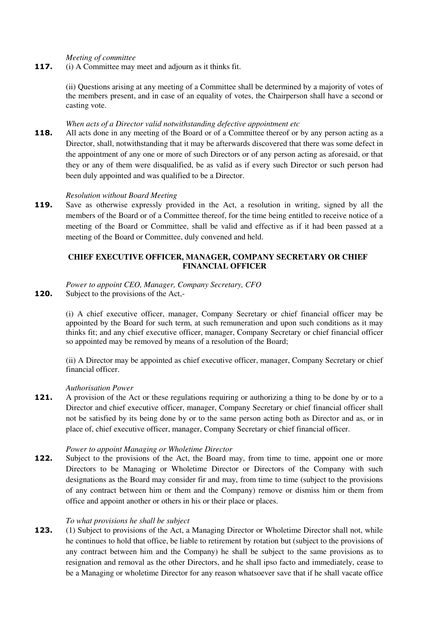*Meeting of committee* 

**117.** (i) A Committee may meet and adjourn as it thinks fit.

(ii) Questions arising at any meeting of a Committee shall be determined by a majority of votes of the members present, and in case of an equality of votes, the Chairperson shall have a second or casting vote.

## *When acts of a Director valid notwithstanding defective appointment etc*

**118.** All acts done in any meeting of the Board or of a Committee thereof or by any person acting as a Director, shall, notwithstanding that it may be afterwards discovered that there was some defect in the appointment of any one or more of such Directors or of any person acting as aforesaid, or that they or any of them were disqualified, be as valid as if every such Director or such person had been duly appointed and was qualified to be a Director.

## *Resolution without Board Meeting*

**119.** Save as otherwise expressly provided in the Act, a resolution in writing, signed by all the members of the Board or of a Committee thereof, for the time being entitled to receive notice of a meeting of the Board or Committee, shall be valid and effective as if it had been passed at a meeting of the Board or Committee, duly convened and held.

# **CHIEF EXECUTIVE OFFICER, MANAGER, COMPANY SECRETARY OR CHIEF FINANCIAL OFFICER**

#### *Power to appoint CEO, Manager, Company Secretary, CFO*  **120.** Subject to the provisions of the Act,-

(i) A chief executive officer, manager, Company Secretary or chief financial officer may be appointed by the Board for such term, at such remuneration and upon such conditions as it may thinks fit; and any chief executive officer, manager, Company Secretary or chief financial officer so appointed may be removed by means of a resolution of the Board;

(ii) A Director may be appointed as chief executive officer, manager, Company Secretary or chief financial officer.

## *Authorisation Power*

**121.** A provision of the Act or these regulations requiring or authorizing a thing to be done by or to a Director and chief executive officer, manager, Company Secretary or chief financial officer shall not be satisfied by its being done by or to the same person acting both as Director and as, or in place of, chief executive officer, manager, Company Secretary or chief financial officer.

## *Power to appoint Managing or Wholetime Director*

**122.** Subject to the provisions of the Act, the Board may, from time to time, appoint one or more Directors to be Managing or Wholetime Director or Directors of the Company with such designations as the Board may consider fir and may, from time to time (subject to the provisions of any contract between him or them and the Company) remove or dismiss him or them from office and appoint another or others in his or their place or places.

## *To what provisions he shall be subject*

**123.** (1) Subject to provisions of the Act, a Managing Director or Wholetime Director shall not, while he continues to hold that office, be liable to retirement by rotation but (subject to the provisions of any contract between him and the Company) he shall be subject to the same provisions as to resignation and removal as the other Directors, and he shall ipso facto and immediately, cease to be a Managing or wholetime Director for any reason whatsoever save that if he shall vacate office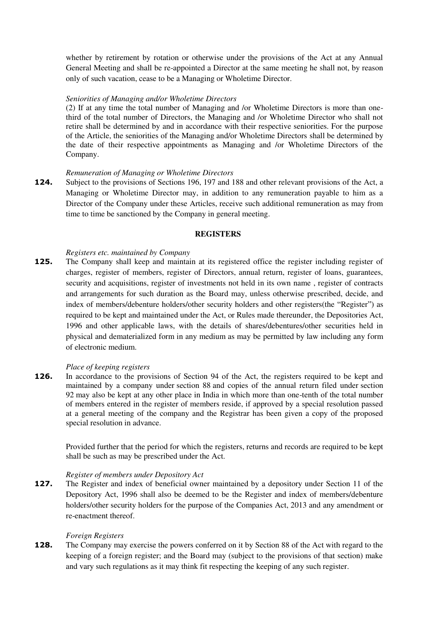whether by retirement by rotation or otherwise under the provisions of the Act at any Annual General Meeting and shall be re-appointed a Director at the same meeting he shall not, by reason only of such vacation, cease to be a Managing or Wholetime Director.

## *Seniorities of Managing and/or Wholetime Directors*

(2) If at any time the total number of Managing and /or Wholetime Directors is more than onethird of the total number of Directors, the Managing and /or Wholetime Director who shall not retire shall be determined by and in accordance with their respective seniorities. For the purpose of the Article, the seniorities of the Managing and/or Wholetime Directors shall be determined by the date of their respective appointments as Managing and /or Wholetime Directors of the Company.

### *Remuneration of Managing or Wholetime Directors*

**124.** Subject to the provisions of Sections 196, 197 and 188 and other relevant provisions of the Act, a Managing or Wholetime Director may, in addition to any remuneration payable to him as a Director of the Company under these Articles, receive such additional remuneration as may from time to time be sanctioned by the Company in general meeting.

### **REGISTERS**

## *Registers etc. maintained by Company*

**125.** The Company shall keep and maintain at its registered office the register including register of charges, register of members, register of Directors, annual return, register of loans, guarantees, security and acquisitions, register of investments not held in its own name , register of contracts and arrangements for such duration as the Board may, unless otherwise prescribed, decide, and index of members/debenture holders/other security holders and other registers(the "Register") as required to be kept and maintained under the Act, or Rules made thereunder, the Depositories Act, 1996 and other applicable laws, with the details of shares/debentures/other securities held in physical and dematerialized form in any medium as may be permitted by law including any form of electronic medium.

#### *Place of keeping registers*

**126.** In accordance to the provisions of Section 94 of the Act, the registers required to be kept and maintained by a company under [section 88](http://ebook.mca.gov.in/Actpagedisplay.aspx?PAGENAME=17471) and copies of the annual return filed under [section](http://ebook.mca.gov.in/Actpagedisplay.aspx?PAGENAME=17475)  [92](http://ebook.mca.gov.in/Actpagedisplay.aspx?PAGENAME=17475) may also be kept at any other place in India in which more than one-tenth of the total number of members entered in the register of members reside, if approved by a special resolution passed at a general meeting of the company and the Registrar has been given a copy of the proposed special resolution in advance.

Provided further that the period for which the registers, returns and records are required to be kept shall be suc[h as may be prescribed](http://ebook.mca.gov.in/Actpagedisplay.aspx?PAGENAME=18031) under the Act.

#### *Register of members under Depository Act*

**127.** The Register and index of beneficial owner maintained by a depository under Section 11 of the Depository Act, 1996 shall also be deemed to be the Register and index of members/debenture holders/other security holders for the purpose of the Companies Act, 2013 and any amendment or re-enactment thereof.

#### *Foreign Registers*

**128.** The Company may exercise the powers conferred on it by Section 88 of the Act with regard to the keeping of a foreign register; and the Board may (subject to the provisions of that section) make and vary such regulations as it may think fit respecting the keeping of any such register.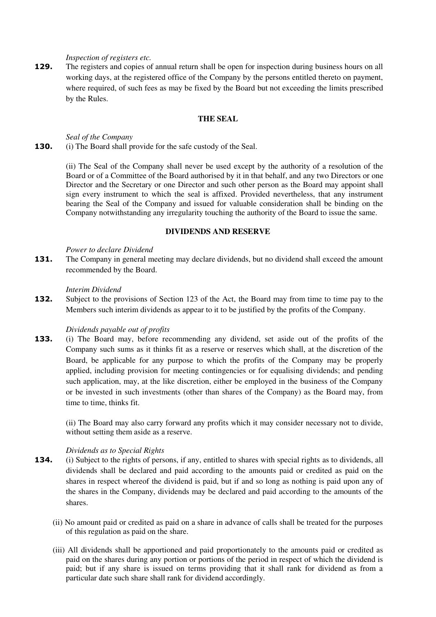*Inspection of registers etc.* 

**129.** The registers and copies of annual return shall be open for inspection during business hours on all working days, at the registered office of the Company by the persons entitled thereto on payment, where required, of such fees as may be fixed by the Board but not exceeding the limits prescribed by the Rules.

# **THE SEAL**

*Seal of the Company*  **130.** (i) The Board shall provide for the safe custody of the Seal.

> (ii) The Seal of the Company shall never be used except by the authority of a resolution of the Board or of a Committee of the Board authorised by it in that behalf, and any two Directors or one Director and the Secretary or one Director and such other person as the Board may appoint shall sign every instrument to which the seal is affixed. Provided nevertheless, that any instrument bearing the Seal of the Company and issued for valuable consideration shall be binding on the Company notwithstanding any irregularity touching the authority of the Board to issue the same.

## **DIVIDENDS AND RESERVE**

#### *Power to declare Dividend*

**131.** The Company in general meeting may declare dividends, but no dividend shall exceed the amount recommended by the Board.

#### *Interim Dividend*

**132.** Subject to the provisions of Section 123 of the Act, the Board may from time to time pay to the Members such interim dividends as appear to it to be justified by the profits of the Company.

## *Dividends payable out of profits*

**133.** (i) The Board may, before recommending any dividend, set aside out of the profits of the Company such sums as it thinks fit as a reserve or reserves which shall, at the discretion of the Board, be applicable for any purpose to which the profits of the Company may be properly applied, including provision for meeting contingencies or for equalising dividends; and pending such application, may, at the like discretion, either be employed in the business of the Company or be invested in such investments (other than shares of the Company) as the Board may, from time to time, thinks fit.

(ii) The Board may also carry forward any profits which it may consider necessary not to divide, without setting them aside as a reserve.

#### *Dividends as to Special Rights*

- **134.** (i) Subject to the rights of persons, if any, entitled to shares with special rights as to dividends, all dividends shall be declared and paid according to the amounts paid or credited as paid on the shares in respect whereof the dividend is paid, but if and so long as nothing is paid upon any of the shares in the Company, dividends may be declared and paid according to the amounts of the shares.
	- (ii) No amount paid or credited as paid on a share in advance of calls shall be treated for the purposes of this regulation as paid on the share.
	- (iii) All dividends shall be apportioned and paid proportionately to the amounts paid or credited as paid on the shares during any portion or portions of the period in respect of which the dividend is paid; but if any share is issued on terms providing that it shall rank for dividend as from a particular date such share shall rank for dividend accordingly.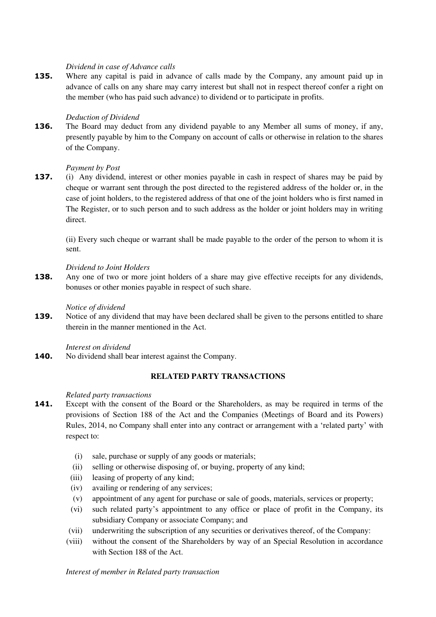### *Dividend in case of Advance calls*

**135.** Where any capital is paid in advance of calls made by the Company, any amount paid up in advance of calls on any share may carry interest but shall not in respect thereof confer a right on the member (who has paid such advance) to dividend or to participate in profits.

### *Deduction of Dividend*

**136.** The Board may deduct from any dividend payable to any Member all sums of money, if any, presently payable by him to the Company on account of calls or otherwise in relation to the shares of the Company.

### *Payment by Post*

**137.** (i) Any dividend, interest or other monies payable in cash in respect of shares may be paid by cheque or warrant sent through the post directed to the registered address of the holder or, in the case of joint holders, to the registered address of that one of the joint holders who is first named in The Register, or to such person and to such address as the holder or joint holders may in writing direct.

(ii) Every such cheque or warrant shall be made payable to the order of the person to whom it is sent.

### *Dividend to Joint Holders*

**138.** Any one of two or more joint holders of a share may give effective receipts for any dividends, bonuses or other monies payable in respect of such share.

#### *Notice of dividend*

**139.** Notice of any dividend that may have been declared shall be given to the persons entitled to share therein in the manner mentioned in the Act.

*Interest on dividend* 

**140.** No dividend shall bear interest against the Company.

## **RELATED PARTY TRANSACTIONS**

#### *Related party transactions*

- 141. Except with the consent of the Board or the Shareholders, as may be required in terms of the provisions of Section 188 of the Act and the Companies (Meetings of Board and its Powers) Rules, 2014, no Company shall enter into any contract or arrangement with a 'related party' with respect to:
	- (i) sale, purchase or supply of any goods or materials;
	- (ii) selling or otherwise disposing of, or buying, property of any kind;
	- (iii) leasing of property of any kind;
	- (iv) availing or rendering of any services;
	- (v) appointment of any agent for purchase or sale of goods, materials, services or property;
	- (vi) such related party's appointment to any office or place of profit in the Company, its subsidiary Company or associate Company; and
	- (vii) underwriting the subscription of any securities or derivatives thereof, of the Company:
	- (viii) without the consent of the Shareholders by way of an Special Resolution in accordance with Section 188 of the Act.

*Interest of member in Related party transaction*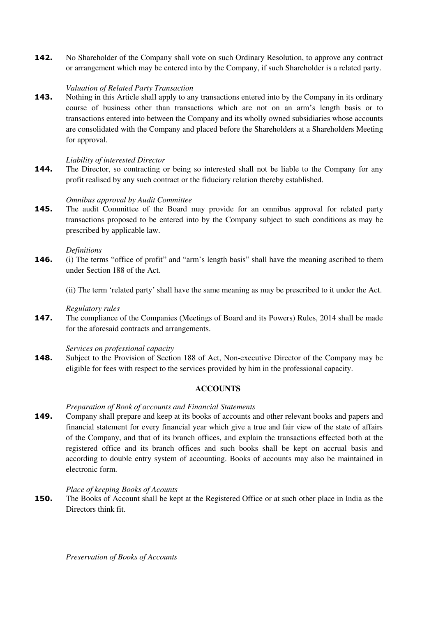**142.** No Shareholder of the Company shall vote on such Ordinary Resolution, to approve any contract or arrangement which may be entered into by the Company, if such Shareholder is a related party.

## *Valuation of Related Party Transaction*

**143.** Nothing in this Article shall apply to any transactions entered into by the Company in its ordinary course of business other than transactions which are not on an arm's length basis or to transactions entered into between the Company and its wholly owned subsidiaries whose accounts are consolidated with the Company and placed before the Shareholders at a Shareholders Meeting for approval.

## *Liability of interested Director*

**144.** The Director, so contracting or being so interested shall not be liable to the Company for any profit realised by any such contract or the fiduciary relation thereby established.

### *Omnibus approval by Audit Committee*

**145.** The audit Committee of the Board may provide for an omnibus approval for related party transactions proposed to be entered into by the Company subject to such conditions as may be prescribed by applicable law.

#### *Definitions*

- **146.** (i) The terms "office of profit" and "arm's length basis" shall have the meaning ascribed to them under Section 188 of the Act.
	- (ii) The term 'related party' shall have the same meaning as may be prescribed to it under the Act.

#### *Regulatory rules*

**147.** The compliance of the Companies (Meetings of Board and its Powers) Rules, 2014 shall be made for the aforesaid contracts and arrangements.

#### *Services on professional capacity*

**148.** Subject to the Provision of Section 188 of Act, Non-executive Director of the Company may be eligible for fees with respect to the services provided by him in the professional capacity.

## **ACCOUNTS**

## *Preparation of Book of accounts and Financial Statements*

**149.** Company shall prepare and keep at its books of accounts and other relevant books and papers and financial statement for every financial year which give a true and fair view of the state of affairs of the Company, and that of its branch offices, and explain the transactions effected both at the registered office and its branch offices and such books shall be kept on accrual basis and according to double entry system of accounting. Books of accounts may also be maintained in electronic form.

## *Place of keeping Books of Acounts*

**150.** The Books of Account shall be kept at the Registered Office or at such other place in India as the Directors think fit.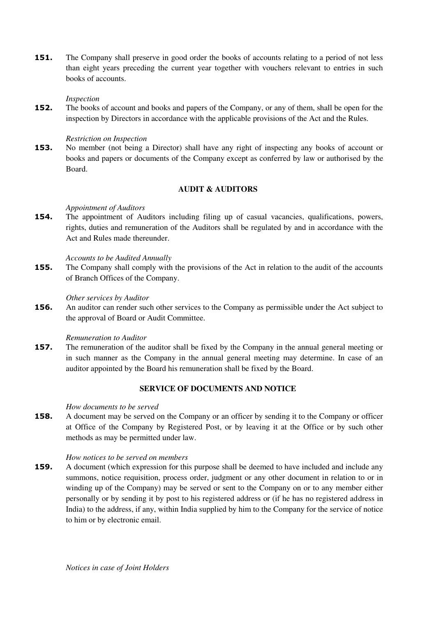**151.** The Company shall preserve in good order the books of accounts relating to a period of not less than eight years preceding the current year together with vouchers relevant to entries in such books of accounts.

## *Inspection*

**152.** The books of account and books and papers of the Company, or any of them, shall be open for the inspection by Directors in accordance with the applicable provisions of the Act and the Rules.

### *Restriction on Inspection*

**153.** No member (not being a Director) shall have any right of inspecting any books of account or books and papers or documents of the Company except as conferred by law or authorised by the Board.

## **AUDIT & AUDITORS**

### *Appointment of Auditors*

**154.** The appointment of Auditors including filing up of casual vacancies, qualifications, powers, rights, duties and remuneration of the Auditors shall be regulated by and in accordance with the Act and Rules made thereunder.

### *Accounts to be Audited Annually*

**155.** The Company shall comply with the provisions of the Act in relation to the audit of the accounts of Branch Offices of the Company.

#### *Other services by Auditor*

**156.** An auditor can render such other services to the Company as permissible under the Act subject to the approval of Board or Audit Committee.

#### *Remuneration to Auditor*

**157.** The remuneration of the auditor shall be fixed by the Company in the annual general meeting or in such manner as the Company in the annual general meeting may determine. In case of an auditor appointed by the Board his remuneration shall be fixed by the Board.

## **SERVICE OF DOCUMENTS AND NOTICE**

#### *How documents to be served*

**158.** A document may be served on the Company or an officer by sending it to the Company or officer at Office of the Company by Registered Post, or by leaving it at the Office or by such other methods as may be permitted under law.

#### *How notices to be served on members*

**159.** A document (which expression for this purpose shall be deemed to have included and include any summons, notice requisition, process order, judgment or any other document in relation to or in winding up of the Company) may be served or sent to the Company on or to any member either personally or by sending it by post to his registered address or (if he has no registered address in India) to the address, if any, within India supplied by him to the Company for the service of notice to him or by electronic email.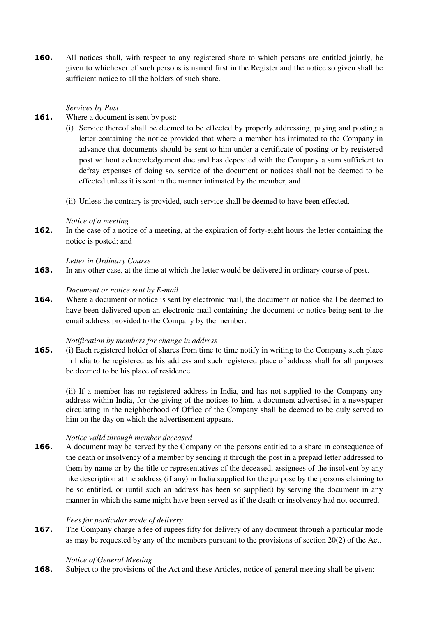**160.** All notices shall, with respect to any registered share to which persons are entitled jointly, be given to whichever of such persons is named first in the Register and the notice so given shall be sufficient notice to all the holders of such share.

## *Services by Post*

- **161.** Where a document is sent by post:
	- (i) Service thereof shall be deemed to be effected by properly addressing, paying and posting a letter containing the notice provided that where a member has intimated to the Company in advance that documents should be sent to him under a certificate of posting or by registered post without acknowledgement due and has deposited with the Company a sum sufficient to defray expenses of doing so, service of the document or notices shall not be deemed to be effected unless it is sent in the manner intimated by the member, and
	- (ii) Unless the contrary is provided, such service shall be deemed to have been effected.

### *Notice of a meeting*

**162.** In the case of a notice of a meeting, at the expiration of forty-eight hours the letter containing the notice is posted; and

## *Letter in Ordinary Course*

**163.** In any other case, at the time at which the letter would be delivered in ordinary course of post.

### *Document or notice sent by E-mail*

**164.** Where a document or notice is sent by electronic mail, the document or notice shall be deemed to have been delivered upon an electronic mail containing the document or notice being sent to the email address provided to the Company by the member.

## *Notification by members for change in address*

**165.** (i) Each registered holder of shares from time to time notify in writing to the Company such place in India to be registered as his address and such registered place of address shall for all purposes be deemed to be his place of residence.

(ii) If a member has no registered address in India, and has not supplied to the Company any address within India, for the giving of the notices to him, a document advertised in a newspaper circulating in the neighborhood of Office of the Company shall be deemed to be duly served to him on the day on which the advertisement appears.

## *Notice valid through member deceased*

**166.** A document may be served by the Company on the persons entitled to a share in consequence of the death or insolvency of a member by sending it through the post in a prepaid letter addressed to them by name or by the title or representatives of the deceased, assignees of the insolvent by any like description at the address (if any) in India supplied for the purpose by the persons claiming to be so entitled, or (until such an address has been so supplied) by serving the document in any manner in which the same might have been served as if the death or insolvency had not occurred.

#### *Fees for particular mode of delivery*

**167.** The Company charge a fee of rupees fifty for delivery of any document through a particular mode as may be requested by any of the members pursuant to the provisions of section 20(2) of the Act.

#### *Notice of General Meeting*

**168.** Subject to the provisions of the Act and these Articles, notice of general meeting shall be given: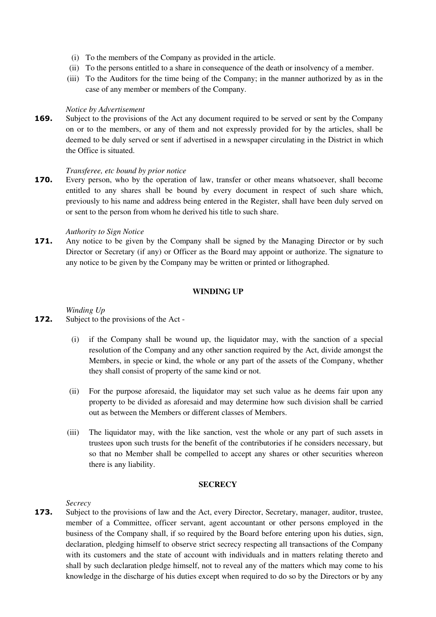- (i) To the members of the Company as provided in the article.
- (ii) To the persons entitled to a share in consequence of the death or insolvency of a member.
- (iii) To the Auditors for the time being of the Company; in the manner authorized by as in the case of any member or members of the Company.

### *Notice by Advertisement*

**169.** Subject to the provisions of the Act any document required to be served or sent by the Company on or to the members, or any of them and not expressly provided for by the articles, shall be deemed to be duly served or sent if advertised in a newspaper circulating in the District in which the Office is situated.

### *Transferee, etc bound by prior notice*

**170.** Every person, who by the operation of law, transfer or other means whatsoever, shall become entitled to any shares shall be bound by every document in respect of such share which, previously to his name and address being entered in the Register, shall have been duly served on or sent to the person from whom he derived his title to such share.

## *Authority to Sign Notice*

**171.** Any notice to be given by the Company shall be signed by the Managing Director or by such Director or Secretary (if any) or Officer as the Board may appoint or authorize. The signature to any notice to be given by the Company may be written or printed or lithographed.

### **WINDING UP**

*Winding Up* 

- **172.** Subject to the provisions of the Act
	- (i) if the Company shall be wound up, the liquidator may, with the sanction of a special resolution of the Company and any other sanction required by the Act, divide amongst the Members, in specie or kind, the whole or any part of the assets of the Company, whether they shall consist of property of the same kind or not.
	- (ii) For the purpose aforesaid, the liquidator may set such value as he deems fair upon any property to be divided as aforesaid and may determine how such division shall be carried out as between the Members or different classes of Members.
	- (iii) The liquidator may, with the like sanction, vest the whole or any part of such assets in trustees upon such trusts for the benefit of the contributories if he considers necessary, but so that no Member shall be compelled to accept any shares or other securities whereon there is any liability.

### **SECRECY**

*Secrecy* 

**173.** Subject to the provisions of law and the Act, every Director, Secretary, manager, auditor, trustee, member of a Committee, officer servant, agent accountant or other persons employed in the business of the Company shall, if so required by the Board before entering upon his duties, sign, declaration, pledging himself to observe strict secrecy respecting all transactions of the Company with its customers and the state of account with individuals and in matters relating thereto and shall by such declaration pledge himself, not to reveal any of the matters which may come to his knowledge in the discharge of his duties except when required to do so by the Directors or by any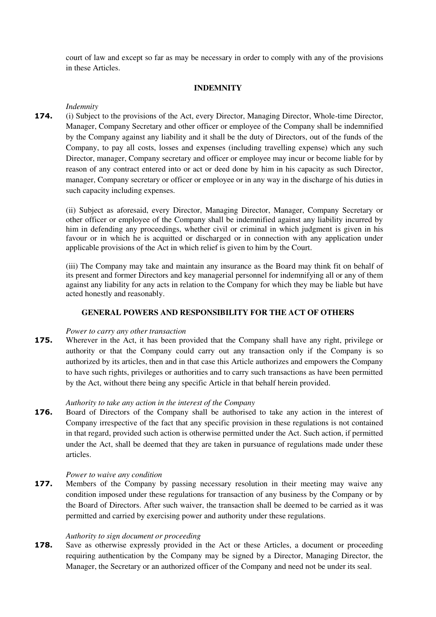court of law and except so far as may be necessary in order to comply with any of the provisions in these Articles.

## **INDEMNITY**

## *Indemnity*

**174.** (i) Subject to the provisions of the Act, every Director, Managing Director, Whole-time Director, Manager, Company Secretary and other officer or employee of the Company shall be indemnified by the Company against any liability and it shall be the duty of Directors, out of the funds of the Company, to pay all costs, losses and expenses (including travelling expense) which any such Director, manager, Company secretary and officer or employee may incur or become liable for by reason of any contract entered into or act or deed done by him in his capacity as such Director, manager, Company secretary or officer or employee or in any way in the discharge of his duties in such capacity including expenses.

(ii) Subject as aforesaid, every Director, Managing Director, Manager, Company Secretary or other officer or employee of the Company shall be indemnified against any liability incurred by him in defending any proceedings, whether civil or criminal in which judgment is given in his favour or in which he is acquitted or discharged or in connection with any application under applicable provisions of the Act in which relief is given to him by the Court.

(iii) The Company may take and maintain any insurance as the Board may think fit on behalf of its present and former Directors and key managerial personnel for indemnifying all or any of them against any liability for any acts in relation to the Company for which they may be liable but have acted honestly and reasonably.

# **GENERAL POWERS AND RESPONSIBILITY FOR THE ACT OF OTHERS**

## *Power to carry any other transaction*

**175.** Wherever in the Act, it has been provided that the Company shall have any right, privilege or authority or that the Company could carry out any transaction only if the Company is so authorized by its articles, then and in that case this Article authorizes and empowers the Company to have such rights, privileges or authorities and to carry such transactions as have been permitted by the Act, without there being any specific Article in that behalf herein provided.

# *Authority to take any action in the interest of the Company*

**176.** Board of Directors of the Company shall be authorised to take any action in the interest of Company irrespective of the fact that any specific provision in these regulations is not contained in that regard, provided such action is otherwise permitted under the Act. Such action, if permitted under the Act, shall be deemed that they are taken in pursuance of regulations made under these articles.

## *Power to waive any condition*

**177.** Members of the Company by passing necessary resolution in their meeting may waive any condition imposed under these regulations for transaction of any business by the Company or by the Board of Directors. After such waiver, the transaction shall be deemed to be carried as it was permitted and carried by exercising power and authority under these regulations.

## *Authority to sign document or proceeding*

**178.** Save as otherwise expressly provided in the Act or these Articles, a document or proceeding requiring authentication by the Company may be signed by a Director, Managing Director, the Manager, the Secretary or an authorized officer of the Company and need not be under its seal.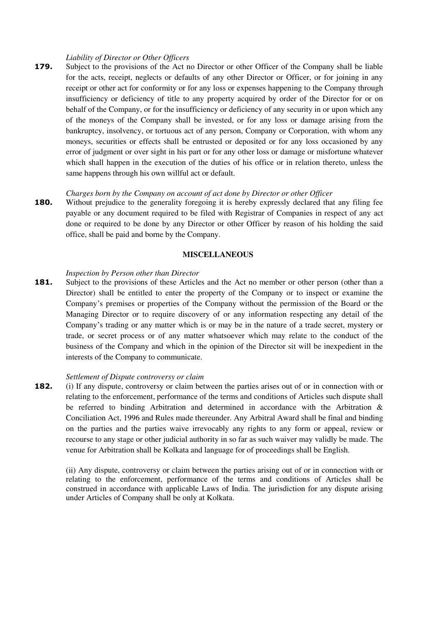#### *Liability of Director or Other Officers*

**179.** Subject to the provisions of the Act no Director or other Officer of the Company shall be liable for the acts, receipt, neglects or defaults of any other Director or Officer, or for joining in any receipt or other act for conformity or for any loss or expenses happening to the Company through insufficiency or deficiency of title to any property acquired by order of the Director for or on behalf of the Company, or for the insufficiency or deficiency of any security in or upon which any of the moneys of the Company shall be invested, or for any loss or damage arising from the bankruptcy, insolvency, or tortuous act of any person, Company or Corporation, with whom any moneys, securities or effects shall be entrusted or deposited or for any loss occasioned by any error of judgment or over sight in his part or for any other loss or damage or misfortune whatever which shall happen in the execution of the duties of his office or in relation thereto, unless the same happens through his own willful act or default.

#### *Charges born by the Company on account of act done by Director or other Officer*

**180.** Without prejudice to the generality foregoing it is hereby expressly declared that any filing fee payable or any document required to be filed with Registrar of Companies in respect of any act done or required to be done by any Director or other Officer by reason of his holding the said office, shall be paid and borne by the Company.

### **MISCELLANEOUS**

#### *Inspection by Person other than Director*

181. Subject to the provisions of these Articles and the Act no member or other person (other than a Director) shall be entitled to enter the property of the Company or to inspect or examine the Company's premises or properties of the Company without the permission of the Board or the Managing Director or to require discovery of or any information respecting any detail of the Company's trading or any matter which is or may be in the nature of a trade secret, mystery or trade, or secret process or of any matter whatsoever which may relate to the conduct of the business of the Company and which in the opinion of the Director sit will be inexpedient in the interests of the Company to communicate.

#### *Settlement of Dispute controversy or claim*

**182.** (i) If any dispute, controversy or claim between the parties arises out of or in connection with or relating to the enforcement, performance of the terms and conditions of Articles such dispute shall be referred to binding Arbitration and determined in accordance with the Arbitration & Conciliation Act, 1996 and Rules made thereunder. Any Arbitral Award shall be final and binding on the parties and the parties waive irrevocably any rights to any form or appeal, review or recourse to any stage or other judicial authority in so far as such waiver may validly be made. The venue for Arbitration shall be Kolkata and language for of proceedings shall be English.

(ii) Any dispute, controversy or claim between the parties arising out of or in connection with or relating to the enforcement, performance of the terms and conditions of Articles shall be construed in accordance with applicable Laws of India. The jurisdiction for any dispute arising under Articles of Company shall be only at Kolkata.